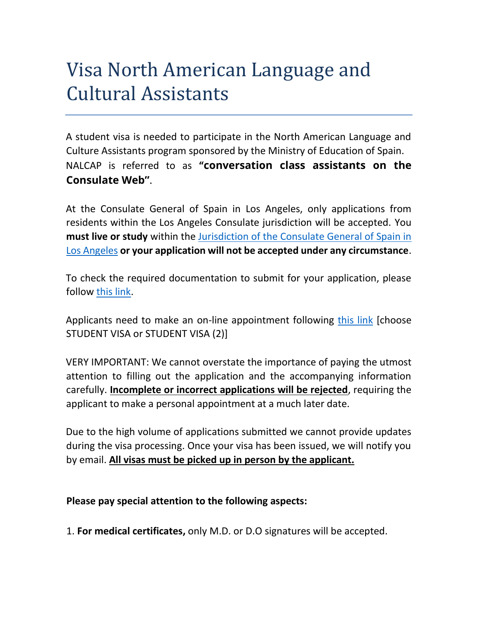## Visa North American Language and Cultural Assistants

A student visa is needed to participate in the North American Language and Culture Assistants program sponsored by the Ministry of Education of Spain. NALCAP is referred to as **"conversation class assistants on the Consulate Web"**.

At the Consulate General of Spain in Los Angeles, only applications from residents within the Los Angeles Consulate jurisdiction will be accepted. You **must live or study** within the [Jurisdiction of the Consulate General of Spain in](https://www.exteriores.gob.es/Consulados/losangeles/en/Consulado/Paginas/Demarcacion.aspx)  [Los Angeles](https://www.exteriores.gob.es/Consulados/losangeles/en/Consulado/Paginas/Demarcacion.aspx) **or your application will not be accepted under any circumstance**.

To check the required documentation to submit for your application, please follow [this link.](https://www.exteriores.gob.es/Consulados/losangeles/en/ServiciosConsulares/Paginas/Consular/Visado-de-estudios.aspx)

Applicants need to make an on-line appointment following [this link](https://app.bookitit.com/es/hosteds/widgetdefault/275f65e80ce06aaf5cd24cebd11311897#services) [choose STUDENT VISA or STUDENT VISA (2)]

VERY IMPORTANT: We cannot overstate the importance of paying the utmost attention to filling out the application and the accompanying information carefully. **Incomplete or incorrect applications will be rejected**, requiring the applicant to make a personal appointment at a much later date.

Due to the high volume of applications submitted we cannot provide updates during the visa processing. Once your visa has been issued, we will notify you by email. **All visas must be picked up in person by the applicant.** 

## **Please pay special attention to the following aspects:**

1. **For medical certificates,** only M.D. or D.O signatures will be accepted.